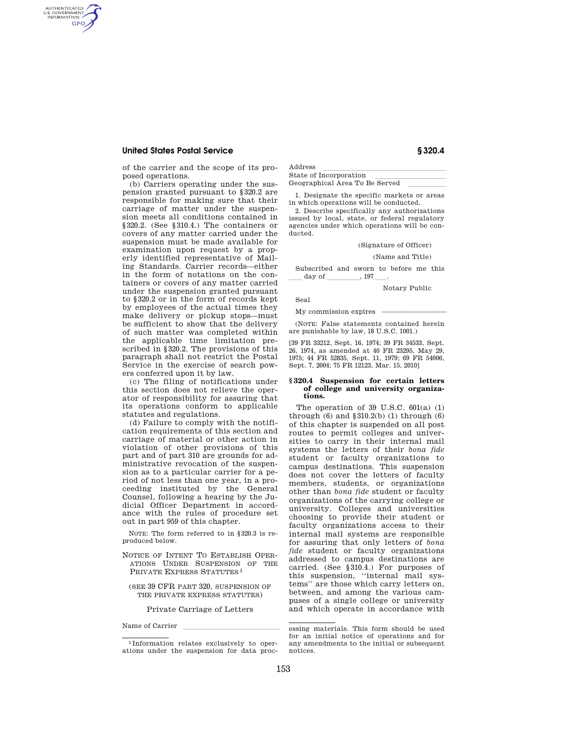## **United States Postal Service § 320.4**

AUTHENTICATED<br>U.S. GOVERNMENT<br>INFORMATION **GPO** 

> of the carrier and the scope of its proposed operations.

> (b) Carriers operating under the suspension granted pursuant to §320.2 are responsible for making sure that their carriage of matter under the suspension meets all conditions contained in §320.2. (See §310.4.) The containers or covers of any matter carried under the suspension must be made available for examination upon request by a properly identified representative of Mailing Standards. Carrier records—either in the form of notations on the containers or covers of any matter carried under the suspension granted pursuant to §320.2 or in the form of records kept by employees of the actual times they make delivery or pickup stops—must be sufficient to show that the delivery of such matter was completed within the applicable time limitation prescribed in §320.2. The provisions of this paragraph shall not restrict the Postal Service in the exercise of search powers conferred upon it by law.

> (c) The filing of notifications under this section does not relieve the operator of responsibility for assuring that its operations conform to applicable statutes and regulations.

> (d) Failure to comply with the notification requirements of this section and carriage of material or other action in violation of other provisions of this part and of part 310 are grounds for administrative revocation of the suspension as to a particular carrier for a period of not less than one year, in a proceeding instituted by the General Counsel, following a hearing by the Judicial Officer Department in accordance with the rules of procedure set out in part 959 of this chapter.

NOTE: The form referred to in §320.3 is reproduced below.

NOTICE OF INTENT TO ESTABLISH OPER-ATIONS UNDER SUSPENSION OF THE PRIVATE EXPRESS STATUTES 1

# (SEE 39 CFR PART 320, SUSPENSION OF THE PRIVATE EXPRESS STATUTES)

Private Carriage of Letters

### Name of Carrier

| Address                        |  |
|--------------------------------|--|
| State of Incorporation         |  |
| Geographical Area To Be Served |  |
|                                |  |

1. Designate the specific markets or areas in which operations will be conducted.

2. Describe specifically any authorizations issued by local, state, or federal regulatory agencies under which operations will be conducted.

(Signature of Officer)

(Name and Title)

Subscribed and sworn to before me this  $\frac{197}{2}$ 

Notary Public

My commission expires

Seal

(NOTE: False statements contained herein are punishable by law, 18 U.S.C. 1001.)

[39 FR 33212, Sept. 16, 1974; 39 FR 34533, Sept. 26, 1974, as amended at 40 FR 23295, May 29, 1975; 44 FR 52835, Sept. 11, 1979; 69 FR 54006, Sept. 7, 2004; 75 FR 12123, Mar. 15, 2010]

### **§ 320.4 Suspension for certain letters of college and university organizations.**

The operation of  $39 \text{ U.S.C. } 601(a) (1)$ through (6) and  $$310.2(b)$  (1) through (6) of this chapter is suspended on all post routes to permit colleges and universities to carry in their internal mail systems the letters of their *bona fide*  student or faculty organizations to campus destinations. This suspension does not cover the letters of faculty members, students, or organizations other than *bona fide* student or faculty organizations of the carrying college or university. Colleges and universities choosing to provide their student or faculty organizations access to their internal mail systems are responsible for assuring that only letters of *bona fide* student or faculty organizations addressed to campus destinations are carried. (See §310.4.) For purposes of this suspension, ''internal mail systems'' are those which carry letters on, between, and among the various campuses of a single college or university and which operate in accordance with

<sup>1</sup> Information relates exclusively to operations under the suspension for data proc-

essing materials. This form should be used for an initial notice of operations and for any amendments to the initial or subsequent notices.